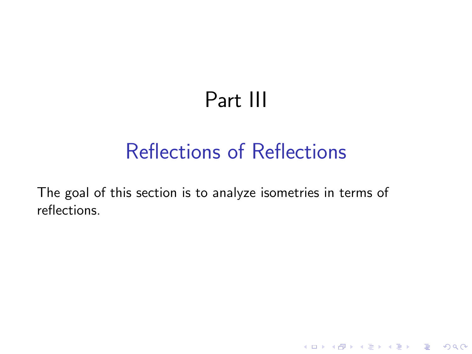## Part III

## Reflections of Reflections

K ロ ▶ K @ ▶ K 할 ▶ K 할 ▶ | 할 | © 9 Q @

The goal of this section is to analyze isometries in terms of reflections.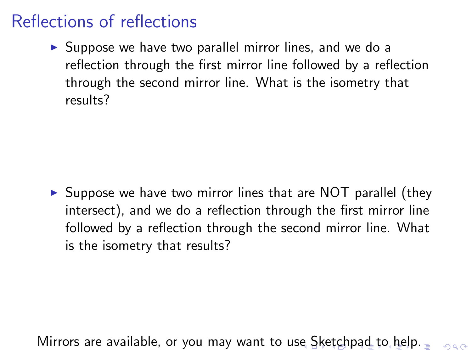### Reflections of reflections

 $\triangleright$  Suppose we have two parallel mirror lines, and we do a reflection through the first mirror line followed by a reflection through the second mirror line. What is the isometry that results?

 $\triangleright$  Suppose we have two mirror lines that are NOT parallel (they intersect), and we do a reflection through the first mirror line followed by a reflection through the second mirror line. What is the isometry that results?

Mirrors are available, or you may want to use Sketchpad to help.  $\eta$ are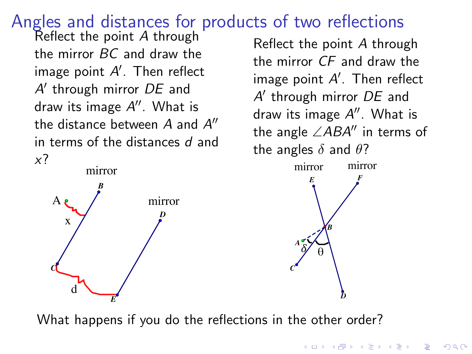# Angles and distances for products of two reflections Reflect the point *<sup>A</sup>* through

the mirror *BC* and draw the image point  $A^\prime$ . Then reflect *A*0 through mirror *DE* and draw its image A''. What is the distance between  $A$  and  $A$ <sup> $\prime\prime$ </sup> in terms of the distances *d* and *x*?



Reflect the point *A* through the mirror *CF* and draw the  $i$ mage point  $A^\prime$ . Then reflect  $i$ *A*0 through mirror *DE* and draw its image A''. What is the angle  $\angle ABA''$  in terms of the angles  $\delta$  and  $\theta$ ?



**KORK ERKER ADE YOUR** 

What happens if you do the reflections in the other order?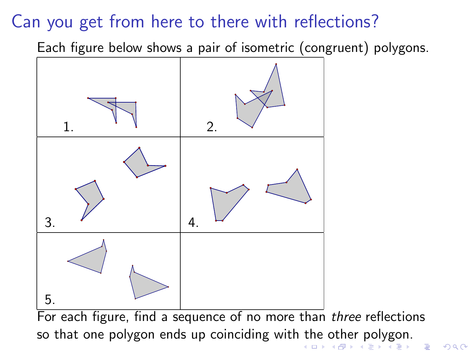### Can you get from here to there with reflections?

Each figure below shows a pair of isometric (congruent) polygons.



 $QQ$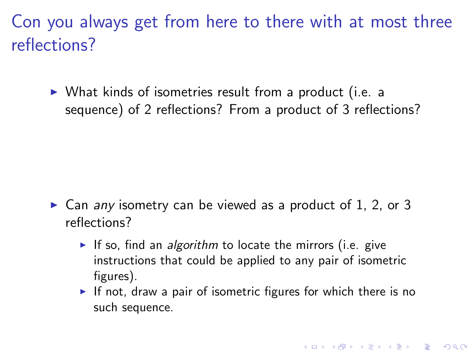Con you always get from here to there with at most three reflections?

 $\triangleright$  What kinds of isometries result from a product (i.e. a sequence) of 2 reflections? From a product of 3 reflections?

- ► Can *any* isometry can be viewed as a product of 1, 2, or 3 reflections?
	- If so, find an *algorithm* to locate the mirrors (i.e. give instructions that could be applied to any pair of isometric figures).
	- If not, draw a pair of isometric figures for which there is no such sequence.

**KORKAR KERKER E VOOR**